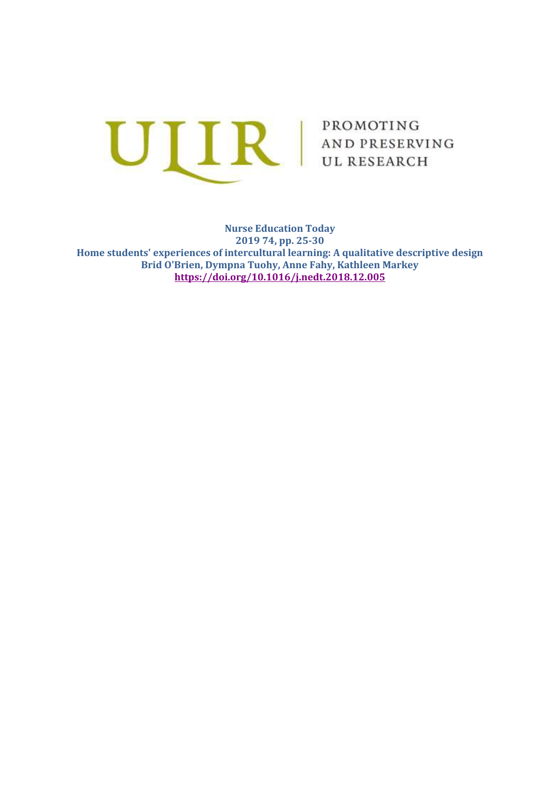

**Nurse Education Today 2019 74, pp. 25-30 Home students' experiences of intercultural learning: A qualitative descriptive design Brid O'Brien, Dympna Tuohy, Anne Fahy, Kathleen Markey <https://doi.org/10.1016/j.nedt.2018.12.005>**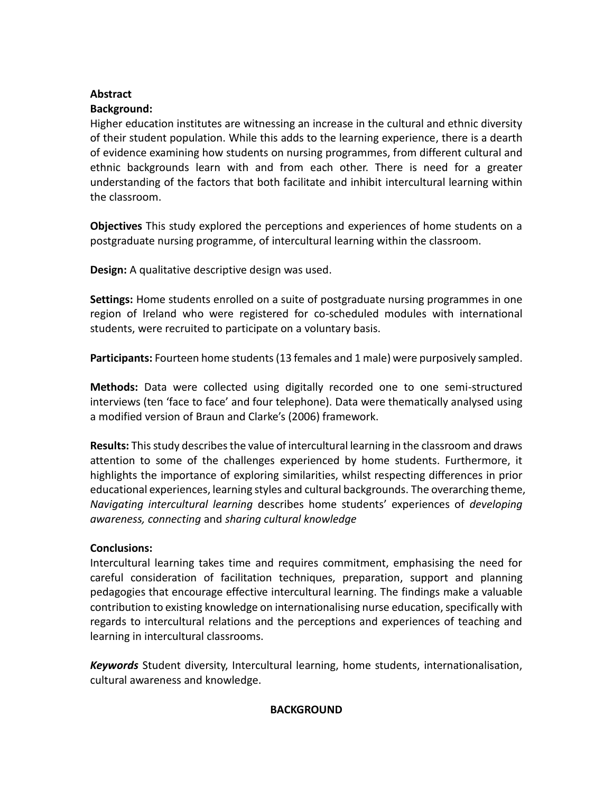# **Abstract**

## **Background:**

Higher education institutes are witnessing an increase in the cultural and ethnic diversity of their student population. While this adds to the learning experience, there is a dearth of evidence examining how students on nursing programmes, from different cultural and ethnic backgrounds learn with and from each other. There is need for a greater understanding of the factors that both facilitate and inhibit intercultural learning within the classroom.

**Objectives** This study explored the perceptions and experiences of home students on a postgraduate nursing programme, of intercultural learning within the classroom.

**Design:** A qualitative descriptive design was used.

**Settings:** Home students enrolled on a suite of postgraduate nursing programmes in one region of Ireland who were registered for co-scheduled modules with international students, were recruited to participate on a voluntary basis.

**Participants:** Fourteen home students (13 females and 1 male) were purposively sampled.

**Methods:** Data were collected using digitally recorded one to one semi-structured interviews (ten 'face to face' and four telephone). Data were thematically analysed using a modified version of Braun and Clarke's (2006) framework.

**Results:** This study describes the value of intercultural learning in the classroom and draws attention to some of the challenges experienced by home students. Furthermore, it highlights the importance of exploring similarities, whilst respecting differences in prior educational experiences, learning styles and cultural backgrounds. The overarching theme, *Navigating intercultural learning* describes home students' experiences of *developing awareness, connecting* and *sharing cultural knowledge*

## **Conclusions:**

Intercultural learning takes time and requires commitment, emphasising the need for careful consideration of facilitation techniques, preparation, support and planning pedagogies that encourage effective intercultural learning. The findings make a valuable contribution to existing knowledge on internationalising nurse education, specifically with regards to intercultural relations and the perceptions and experiences of teaching and learning in intercultural classrooms.

*Keywords* Student diversity, Intercultural learning, home students, internationalisation, cultural awareness and knowledge.

## **BACKGROUND**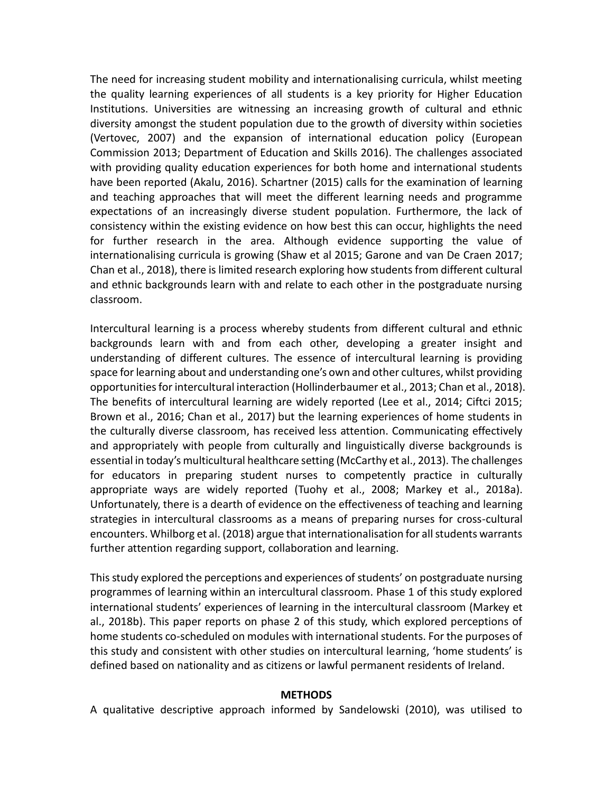The need for increasing student mobility and internationalising curricula, whilst meeting the quality learning experiences of all students is a key priority for Higher Education Institutions. Universities are witnessing an increasing growth of cultural and ethnic diversity amongst the student population due to the growth of diversity within societies (Vertovec, 2007) and the expansion of international education policy (European Commission 2013; Department of Education and Skills 2016). The challenges associated with providing quality education experiences for both home and international students have been reported (Akalu, 2016). Schartner (2015) calls for the examination of learning and teaching approaches that will meet the different learning needs and programme expectations of an increasingly diverse student population. Furthermore, the lack of consistency within the existing evidence on how best this can occur, highlights the need for further research in the area. Although evidence supporting the value of internationalising curricula is growing (Shaw et al 2015; Garone and van De Craen 2017; Chan et al., 2018), there is limited research exploring how students from different cultural and ethnic backgrounds learn with and relate to each other in the postgraduate nursing classroom.

Intercultural learning is a process whereby students from different cultural and ethnic backgrounds learn with and from each other, developing a greater insight and understanding of different cultures. The essence of intercultural learning is providing space for learning about and understanding one's own and other cultures, whilst providing opportunities for intercultural interaction (Hollinderbaumer et al., 2013; Chan et al., 2018). The benefits of intercultural learning are widely reported (Lee et al., 2014; Ciftci 2015; Brown et al., 2016; Chan et al., 2017) but the learning experiences of home students in the culturally diverse classroom, has received less attention. Communicating effectively and appropriately with people from culturally and linguistically diverse backgrounds is essential in today's multicultural healthcare setting (McCarthy et al., 2013). The challenges for educators in preparing student nurses to competently practice in culturally appropriate ways are widely reported (Tuohy et al., 2008; Markey et al., 2018a). Unfortunately, there is a dearth of evidence on the effectiveness of teaching and learning strategies in intercultural classrooms as a means of preparing nurses for cross-cultural encounters. Whilborg et al. (2018) argue that internationalisation for all students warrants further attention regarding support, collaboration and learning.

This study explored the perceptions and experiences of students' on postgraduate nursing programmes of learning within an intercultural classroom. Phase 1 of this study explored international students' experiences of learning in the intercultural classroom (Markey et al., 2018b). This paper reports on phase 2 of this study, which explored perceptions of home students co-scheduled on modules with international students. For the purposes of this study and consistent with other studies on intercultural learning, 'home students' is defined based on nationality and as citizens or lawful permanent residents of Ireland.

#### **METHODS**

A qualitative descriptive approach informed by Sandelowski (2010), was utilised to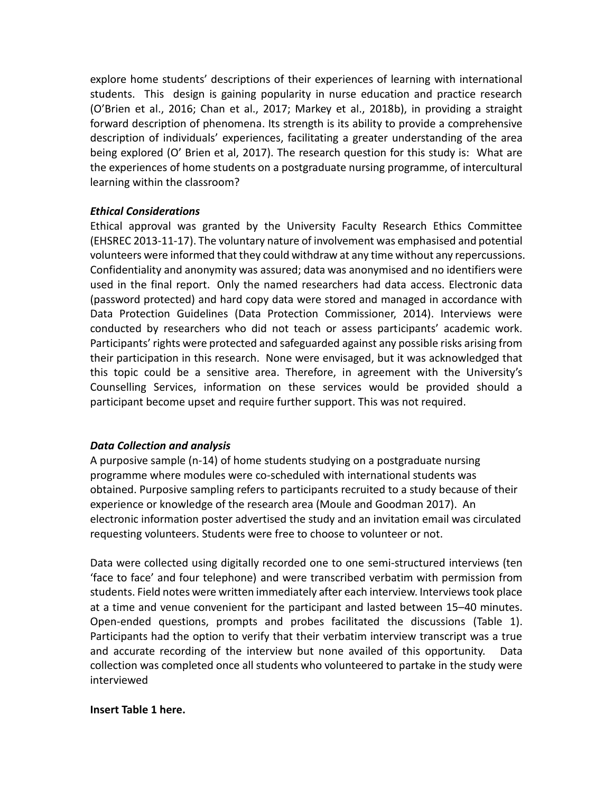explore home students' descriptions of their experiences of learning with international students. This design is gaining popularity in nurse education and practice research (O'Brien et al., 2016; Chan et al., 2017; Markey et al., 2018b), in providing a straight forward description of phenomena. Its strength is its ability to provide a comprehensive description of individuals' experiences, facilitating a greater understanding of the area being explored (O' Brien et al, 2017). The research question for this study is: What are the experiences of home students on a postgraduate nursing programme, of intercultural learning within the classroom?

### *Ethical Considerations*

Ethical approval was granted by the University Faculty Research Ethics Committee (EHSREC 2013-11-17). The voluntary nature of involvement was emphasised and potential volunteers were informed that they could withdraw at any time without any repercussions. Confidentiality and anonymity was assured; data was anonymised and no identifiers were used in the final report. Only the named researchers had data access. Electronic data (password protected) and hard copy data were stored and managed in accordance with Data Protection Guidelines (Data Protection Commissioner, 2014). Interviews were conducted by researchers who did not teach or assess participants' academic work. Participants' rights were protected and safeguarded against any possible risks arising from their participation in this research. None were envisaged, but it was acknowledged that this topic could be a sensitive area. Therefore, in agreement with the University's Counselling Services, information on these services would be provided should a participant become upset and require further support. This was not required.

### *Data Collection and analysis*

A purposive sample (n-14) of home students studying on a postgraduate nursing programme where modules were co-scheduled with international students was obtained. Purposive sampling refers to participants recruited to a study because of their experience or knowledge of the research area (Moule and Goodman 2017). An electronic information poster advertised the study and an invitation email was circulated requesting volunteers. Students were free to choose to volunteer or not.

Data were collected using digitally recorded one to one semi-structured interviews (ten 'face to face' and four telephone) and were transcribed verbatim with permission from students. Field notes were written immediately after each interview. Interviews took place at a time and venue convenient for the participant and lasted between 15–40 minutes. Open-ended questions, prompts and probes facilitated the discussions (Table 1). Participants had the option to verify that their verbatim interview transcript was a true and accurate recording of the interview but none availed of this opportunity. Data collection was completed once all students who volunteered to partake in the study were interviewed

### **Insert Table 1 here.**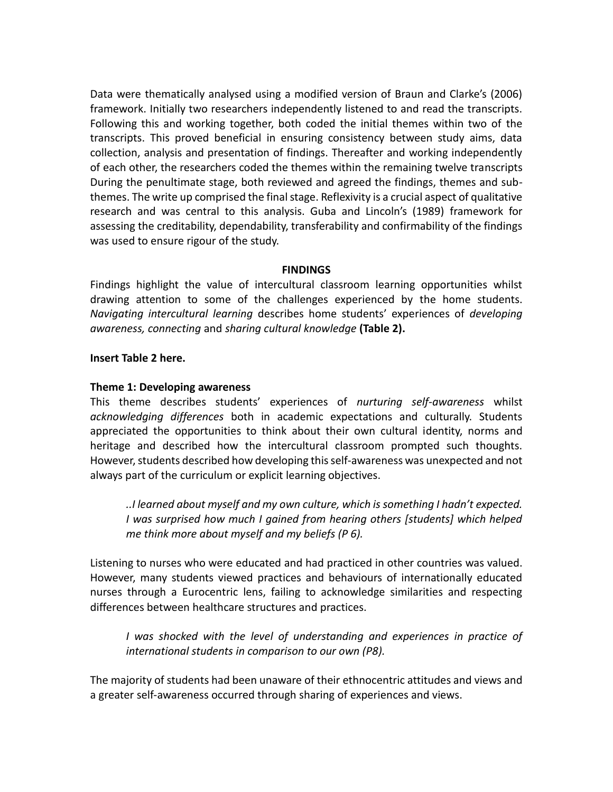Data were thematically analysed using a modified version of Braun and Clarke's (2006) framework. Initially two researchers independently listened to and read the transcripts. Following this and working together, both coded the initial themes within two of the transcripts. This proved beneficial in ensuring consistency between study aims, data collection, analysis and presentation of findings. Thereafter and working independently of each other, the researchers coded the themes within the remaining twelve transcripts During the penultimate stage, both reviewed and agreed the findings, themes and subthemes. The write up comprised the final stage. Reflexivity is a crucial aspect of qualitative research and was central to this analysis. Guba and Lincoln's (1989) framework for assessing the creditability, dependability, transferability and confirmability of the findings was used to ensure rigour of the study.

### **FINDINGS**

Findings highlight the value of intercultural classroom learning opportunities whilst drawing attention to some of the challenges experienced by the home students. *Navigating intercultural learning* describes home students' experiences of *developing awareness, connecting* and *sharing cultural knowledge* **(Table 2).**

#### **Insert Table 2 here.**

#### **Theme 1: Developing awareness**

This theme describes students' experiences of *nurturing self-awareness* whilst *acknowledging differences* both in academic expectations and culturally. Students appreciated the opportunities to think about their own cultural identity, norms and heritage and described how the intercultural classroom prompted such thoughts. However, students described how developing this self-awareness was unexpected and not always part of the curriculum or explicit learning objectives.

*..I learned about myself and my own culture, which is something I hadn't expected. I was surprised how much I gained from hearing others [students] which helped me think more about myself and my beliefs (P 6).* 

Listening to nurses who were educated and had practiced in other countries was valued. However, many students viewed practices and behaviours of internationally educated nurses through a Eurocentric lens, failing to acknowledge similarities and respecting differences between healthcare structures and practices.

*I* was shocked with the level of understanding and experiences in practice of *international students in comparison to our own (P8).* 

The majority of students had been unaware of their ethnocentric attitudes and views and a greater self-awareness occurred through sharing of experiences and views.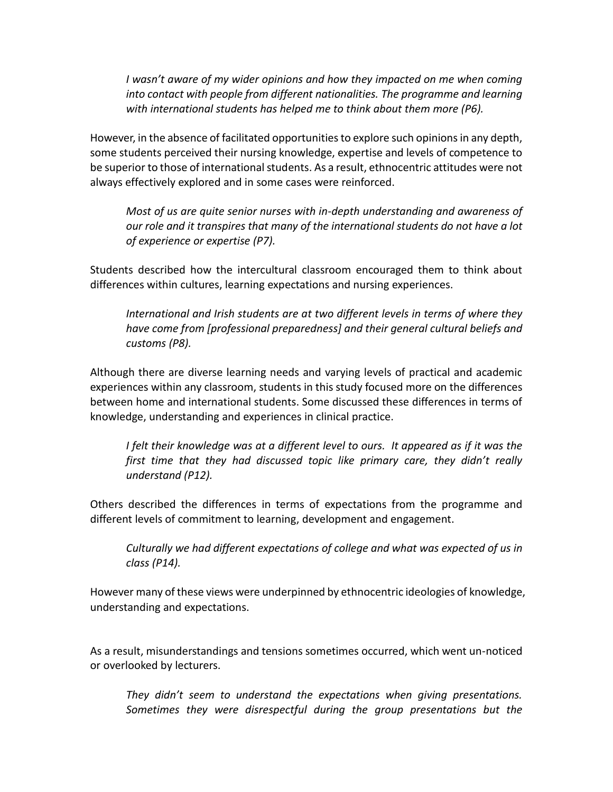*I wasn't aware of my wider opinions and how they impacted on me when coming into contact with people from different nationalities. The programme and learning with international students has helped me to think about them more (P6).*

However, in the absence of facilitated opportunities to explore such opinions in any depth, some students perceived their nursing knowledge, expertise and levels of competence to be superior to those of international students. As a result, ethnocentric attitudes were not always effectively explored and in some cases were reinforced.

*Most of us are quite senior nurses with in-depth understanding and awareness of our role and it transpires that many of the international students do not have a lot of experience or expertise (P7).*

Students described how the intercultural classroom encouraged them to think about differences within cultures, learning expectations and nursing experiences.

*International and Irish students are at two different levels in terms of where they have come from [professional preparedness] and their general cultural beliefs and customs (P8).*

Although there are diverse learning needs and varying levels of practical and academic experiences within any classroom, students in this study focused more on the differences between home and international students. Some discussed these differences in terms of knowledge, understanding and experiences in clinical practice.

*I* felt their knowledge was at a different level to ours. It appeared as if it was the *first time that they had discussed topic like primary care, they didn't really understand (P12).*

Others described the differences in terms of expectations from the programme and different levels of commitment to learning, development and engagement.

*Culturally we had different expectations of college and what was expected of us in class (P14).*

However many of these views were underpinned by ethnocentric ideologies of knowledge, understanding and expectations.

As a result, misunderstandings and tensions sometimes occurred, which went un-noticed or overlooked by lecturers.

*They didn't seem to understand the expectations when giving presentations. Sometimes they were disrespectful during the group presentations but the*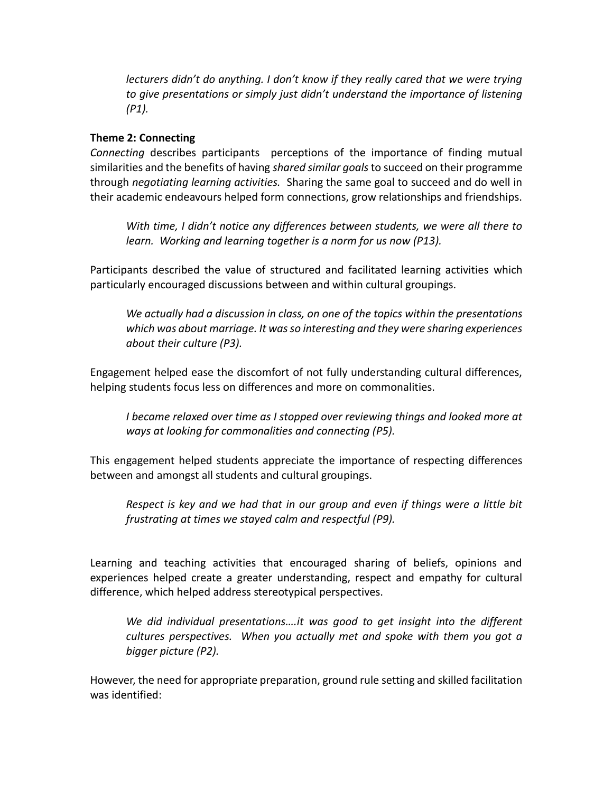*lecturers didn't do anything. I don't know if they really cared that we were trying to give presentations or simply just didn't understand the importance of listening (P1).*

### **Theme 2: Connecting**

*Connecting* describes participants perceptions of the importance of finding mutual similarities and the benefits of having *shared similar goals*to succeed on their programme through *negotiating learning activities.* Sharing the same goal to succeed and do well in their academic endeavours helped form connections, grow relationships and friendships.

*With time, I didn't notice any differences between students, we were all there to learn. Working and learning together is a norm for us now (P13).*

Participants described the value of structured and facilitated learning activities which particularly encouraged discussions between and within cultural groupings.

*We actually had a discussion in class, on one of the topics within the presentations which was about marriage. It was so interesting and they were sharing experiences about their culture (P3).*

Engagement helped ease the discomfort of not fully understanding cultural differences, helping students focus less on differences and more on commonalities.

*I became relaxed over time as I stopped over reviewing things and looked more at ways at looking for commonalities and connecting (P5).*

This engagement helped students appreciate the importance of respecting differences between and amongst all students and cultural groupings.

*Respect is key and we had that in our group and even if things were a little bit frustrating at times we stayed calm and respectful (P9).*

Learning and teaching activities that encouraged sharing of beliefs, opinions and experiences helped create a greater understanding, respect and empathy for cultural difference, which helped address stereotypical perspectives.

We did individual presentations....it was good to get insight into the different *cultures perspectives. When you actually met and spoke with them you got a bigger picture (P2).*

However, the need for appropriate preparation, ground rule setting and skilled facilitation was identified: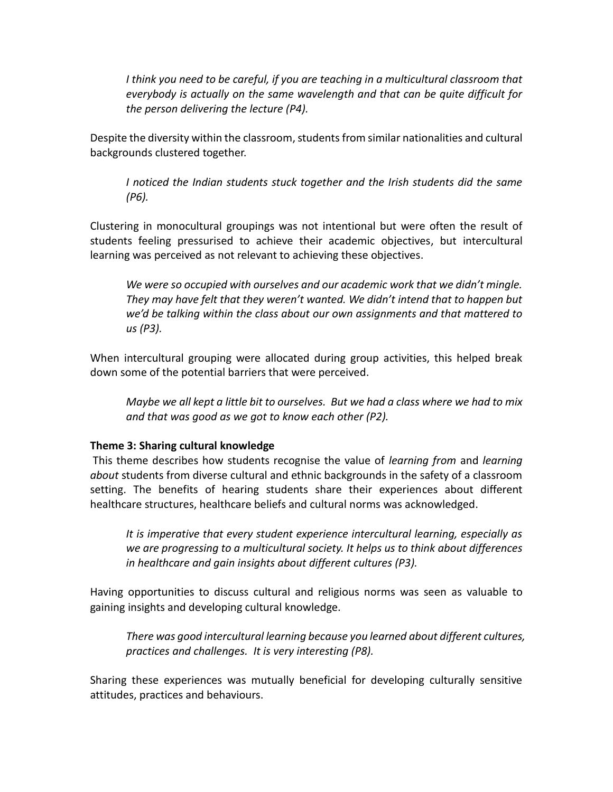*I think you need to be careful, if you are teaching in a multicultural classroom that everybody is actually on the same wavelength and that can be quite difficult for the person delivering the lecture (P4).* 

Despite the diversity within the classroom, students from similar nationalities and cultural backgrounds clustered together.

*I noticed the Indian students stuck together and the Irish students did the same (P6).*

Clustering in monocultural groupings was not intentional but were often the result of students feeling pressurised to achieve their academic objectives, but intercultural learning was perceived as not relevant to achieving these objectives.

*We were so occupied with ourselves and our academic work that we didn't mingle. They may have felt that they weren't wanted. We didn't intend that to happen but we'd be talking within the class about our own assignments and that mattered to us (P3).*

When intercultural grouping were allocated during group activities, this helped break down some of the potential barriers that were perceived.

*Maybe we all kept a little bit to ourselves. But we had a class where we had to mix and that was good as we got to know each other (P2).*

## **Theme 3: Sharing cultural knowledge**

This theme describes how students recognise the value of *learning from* and *learning about* students from diverse cultural and ethnic backgrounds in the safety of a classroom setting. The benefits of hearing students share their experiences about different healthcare structures, healthcare beliefs and cultural norms was acknowledged.

*It is imperative that every student experience intercultural learning, especially as we are progressing to a multicultural society. It helps us to think about differences in healthcare and gain insights about different cultures (P3).*

Having opportunities to discuss cultural and religious norms was seen as valuable to gaining insights and developing cultural knowledge.

*There was good intercultural learning because you learned about different cultures, practices and challenges. It is very interesting (P8).*

Sharing these experiences was mutually beneficial for developing culturally sensitive attitudes, practices and behaviours.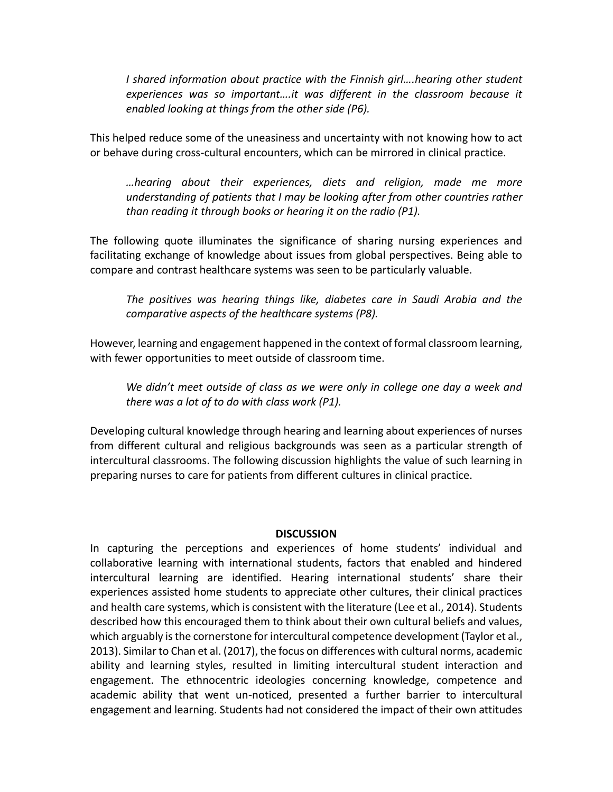*I* shared information about practice with the Finnish girl....hearing other student *experiences was so important….it was different in the classroom because it enabled looking at things from the other side (P6).*

This helped reduce some of the uneasiness and uncertainty with not knowing how to act or behave during cross-cultural encounters, which can be mirrored in clinical practice.

*…hearing about their experiences, diets and religion, made me more understanding of patients that I may be looking after from other countries rather than reading it through books or hearing it on the radio (P1).*

The following quote illuminates the significance of sharing nursing experiences and facilitating exchange of knowledge about issues from global perspectives. Being able to compare and contrast healthcare systems was seen to be particularly valuable.

*The positives was hearing things like, diabetes care in Saudi Arabia and the comparative aspects of the healthcare systems (P8).*

However, learning and engagement happened in the context of formal classroom learning, with fewer opportunities to meet outside of classroom time.

*We didn't meet outside of class as we were only in college one day a week and there was a lot of to do with class work (P1).* 

Developing cultural knowledge through hearing and learning about experiences of nurses from different cultural and religious backgrounds was seen as a particular strength of intercultural classrooms. The following discussion highlights the value of such learning in preparing nurses to care for patients from different cultures in clinical practice.

### **DISCUSSION**

In capturing the perceptions and experiences of home students' individual and collaborative learning with international students, factors that enabled and hindered intercultural learning are identified. Hearing international students' share their experiences assisted home students to appreciate other cultures, their clinical practices and health care systems, which is consistent with the literature (Lee et al., 2014). Students described how this encouraged them to think about their own cultural beliefs and values, which arguably is the cornerstone for intercultural competence development (Taylor et al., 2013). Similar to Chan et al. (2017), the focus on differences with cultural norms, academic ability and learning styles, resulted in limiting intercultural student interaction and engagement. The ethnocentric ideologies concerning knowledge, competence and academic ability that went un-noticed, presented a further barrier to intercultural engagement and learning. Students had not considered the impact of their own attitudes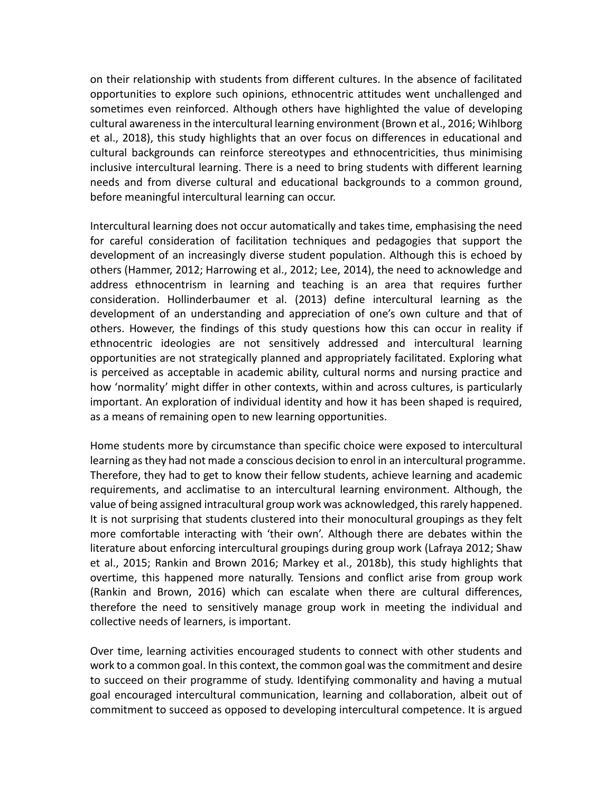on their relationship with students from different cultures. In the absence of facilitated opportunities to explore such opinions, ethnocentric attitudes went unchallenged and sometimes even reinforced. Although others have highlighted the value of developing cultural awareness in the intercultural learning environment (Brown et al., 2016; Wihlborg et al., 2018), this study highlights that an over focus on differences in educational and cultural backgrounds can reinforce stereotypes and ethnocentricities, thus minimising inclusive intercultural learning. There is a need to bring students with different learning needs and from diverse cultural and educational backgrounds to a common ground, before meaningful intercultural learning can occur.

Intercultural learning does not occur automatically and takes time, emphasising the need for careful consideration of facilitation techniques and pedagogies that support the development of an increasingly diverse student population. Although this is echoed by others (Hammer, 2012; Harrowing et al., 2012; Lee, 2014), the need to acknowledge and address ethnocentrism in learning and teaching is an area that requires further consideration. Hollinderbaumer et al. (2013) define intercultural learning as the development of an understanding and appreciation of one's own culture and that of others. However, the findings of this study questions how this can occur in reality if ethnocentric ideologies are not sensitively addressed and intercultural learning opportunities are not strategically planned and appropriately facilitated. Exploring what is perceived as acceptable in academic ability, cultural norms and nursing practice and how 'normality' might differ in other contexts, within and across cultures, is particularly important. An exploration of individual identity and how it has been shaped is required, as a means of remaining open to new learning opportunities.

Home students more by circumstance than specific choice were exposed to intercultural learning as they had not made a conscious decision to enrol in an intercultural programme. Therefore, they had to get to know their fellow students, achieve learning and academic requirements, and acclimatise to an intercultural learning environment. Although, the value of being assigned intracultural group work was acknowledged, this rarely happened. It is not surprising that students clustered into their monocultural groupings as they felt more comfortable interacting with 'their own'. Although there are debates within the literature about enforcing intercultural groupings during group work (Lafraya 2012; Shaw et al., 2015; Rankin and Brown 2016; Markey et al., 2018b), this study highlights that overtime, this happened more naturally. Tensions and conflict arise from group work (Rankin and Brown, 2016) which can escalate when there are cultural differences, therefore the need to sensitively manage group work in meeting the individual and collective needs of learners, is important.

Over time, learning activities encouraged students to connect with other students and work to a common goal. In this context, the common goal was the commitment and desire to succeed on their programme of study. Identifying commonality and having a mutual goal encouraged intercultural communication, learning and collaboration, albeit out of commitment to succeed as opposed to developing intercultural competence. It is argued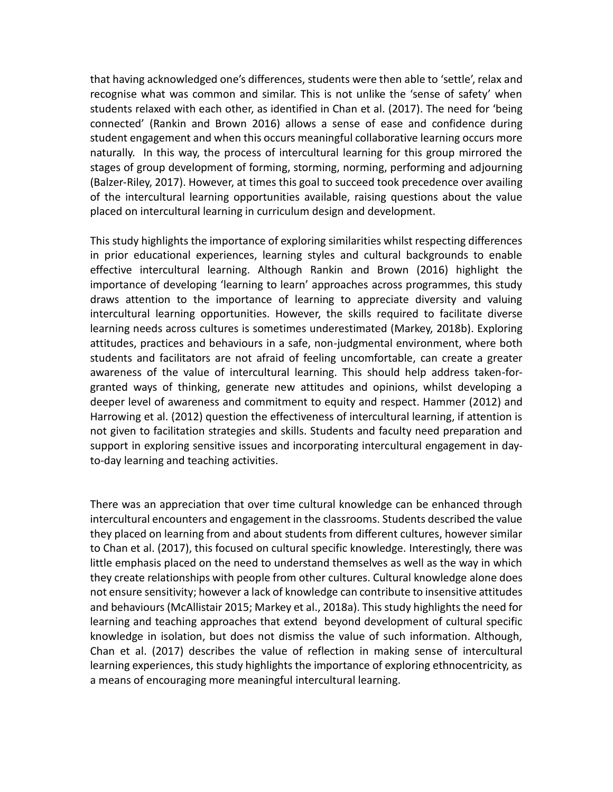that having acknowledged one's differences, students were then able to 'settle', relax and recognise what was common and similar. This is not unlike the 'sense of safety' when students relaxed with each other, as identified in Chan et al. (2017). The need for 'being connected' (Rankin and Brown 2016) allows a sense of ease and confidence during student engagement and when this occurs meaningful collaborative learning occurs more naturally. In this way, the process of intercultural learning for this group mirrored the stages of group development of forming, storming, norming, performing and adjourning (Balzer-Riley, 2017). However, at times this goal to succeed took precedence over availing of the intercultural learning opportunities available, raising questions about the value placed on intercultural learning in curriculum design and development.

This study highlights the importance of exploring similarities whilst respecting differences in prior educational experiences, learning styles and cultural backgrounds to enable effective intercultural learning. Although Rankin and Brown (2016) highlight the importance of developing 'learning to learn' approaches across programmes, this study draws attention to the importance of learning to appreciate diversity and valuing intercultural learning opportunities. However, the skills required to facilitate diverse learning needs across cultures is sometimes underestimated (Markey, 2018b). Exploring attitudes, practices and behaviours in a safe, non-judgmental environment, where both students and facilitators are not afraid of feeling uncomfortable, can create a greater awareness of the value of intercultural learning. This should help address taken-forgranted ways of thinking, generate new attitudes and opinions, whilst developing a deeper level of awareness and commitment to equity and respect. Hammer (2012) and Harrowing et al. (2012) question the effectiveness of intercultural learning, if attention is not given to facilitation strategies and skills. Students and faculty need preparation and support in exploring sensitive issues and incorporating intercultural engagement in dayto-day learning and teaching activities.

There was an appreciation that over time cultural knowledge can be enhanced through intercultural encounters and engagement in the classrooms. Students described the value they placed on learning from and about students from different cultures, however similar to Chan et al. (2017), this focused on cultural specific knowledge. Interestingly, there was little emphasis placed on the need to understand themselves as well as the way in which they create relationships with people from other cultures. Cultural knowledge alone does not ensure sensitivity; however a lack of knowledge can contribute to insensitive attitudes and behaviours (McAllistair 2015; Markey et al., 2018a). This study highlights the need for learning and teaching approaches that extend beyond development of cultural specific knowledge in isolation, but does not dismiss the value of such information. Although, Chan et al. (2017) describes the value of reflection in making sense of intercultural learning experiences, this study highlights the importance of exploring ethnocentricity, as a means of encouraging more meaningful intercultural learning.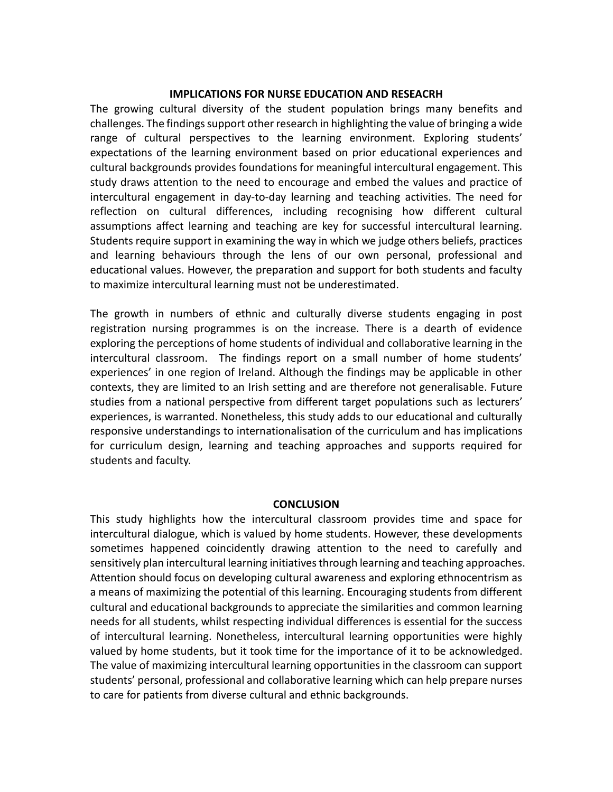#### **IMPLICATIONS FOR NURSE EDUCATION AND RESEACRH**

The growing cultural diversity of the student population brings many benefits and challenges. The findings support other research in highlighting the value of bringing a wide range of cultural perspectives to the learning environment. Exploring students' expectations of the learning environment based on prior educational experiences and cultural backgrounds provides foundations for meaningful intercultural engagement. This study draws attention to the need to encourage and embed the values and practice of intercultural engagement in day-to-day learning and teaching activities. The need for reflection on cultural differences, including recognising how different cultural assumptions affect learning and teaching are key for successful intercultural learning. Students require support in examining the way in which we judge others beliefs, practices and learning behaviours through the lens of our own personal, professional and educational values. However, the preparation and support for both students and faculty to maximize intercultural learning must not be underestimated.

The growth in numbers of ethnic and culturally diverse students engaging in post registration nursing programmes is on the increase. There is a dearth of evidence exploring the perceptions of home students of individual and collaborative learning in the intercultural classroom. The findings report on a small number of home students' experiences' in one region of Ireland. Although the findings may be applicable in other contexts, they are limited to an Irish setting and are therefore not generalisable. Future studies from a national perspective from different target populations such as lecturers' experiences, is warranted. Nonetheless, this study adds to our educational and culturally responsive understandings to internationalisation of the curriculum and has implications for curriculum design, learning and teaching approaches and supports required for students and faculty.

#### **CONCLUSION**

This study highlights how the intercultural classroom provides time and space for intercultural dialogue, which is valued by home students. However, these developments sometimes happened coincidently drawing attention to the need to carefully and sensitively plan intercultural learning initiatives through learning and teaching approaches. Attention should focus on developing cultural awareness and exploring ethnocentrism as a means of maximizing the potential of this learning. Encouraging students from different cultural and educational backgrounds to appreciate the similarities and common learning needs for all students, whilst respecting individual differences is essential for the success of intercultural learning. Nonetheless, intercultural learning opportunities were highly valued by home students, but it took time for the importance of it to be acknowledged. The value of maximizing intercultural learning opportunities in the classroom can support students' personal, professional and collaborative learning which can help prepare nurses to care for patients from diverse cultural and ethnic backgrounds.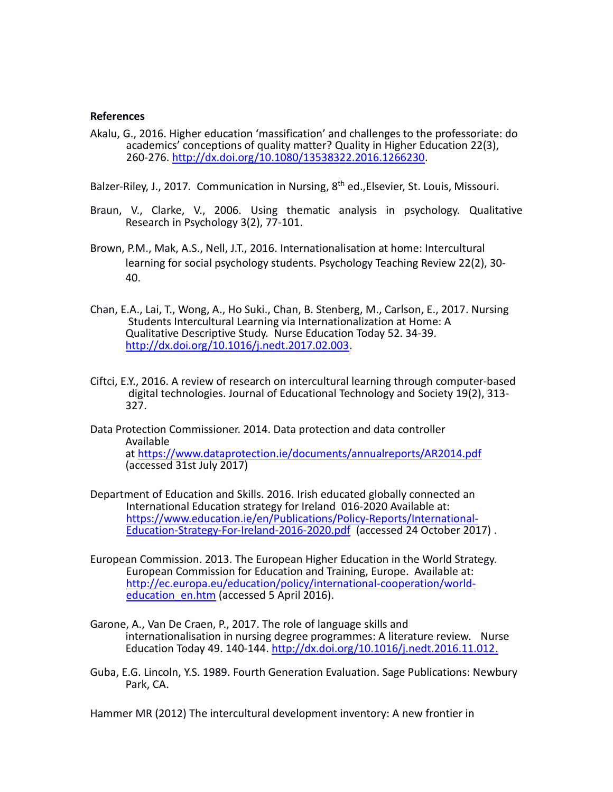#### **References**

Akalu, G., 2016. Higher education 'massification' and challenges to the professoriate: do academics' conceptions of quality matter? Quality in Higher Education 22(3), 260-276. [http://dx.doi.org/10.1080/13538322.2016.1266230.](http://dx.doi.org/10.1080/13538322.2016.1266230)

Balzer-Riley, J., 2017. Communication in Nursing, 8<sup>th</sup> ed., Elsevier, St. Louis, Missouri.

- Braun, V., Clarke, V., 2006. Using thematic analysis in psychology. Qualitative Research in Psychology 3(2), 77-101.
- Brown, P.M., Mak, A.S., Nell, J.T., 2016. Internationalisation at home: Intercultural learning for social psychology students. Psychology Teaching Review 22(2), 30- 40.
- Chan, E.A., Lai, T., Wong, A., Ho Suki., Chan, B. Stenberg, M., Carlson, E., 2017. Nursing Students Intercultural Learning via Internationalization at Home: A Qualitative Descriptive Study. Nurse Education Today 52. 34-39. [http://dx.doi.org/10.1016/j.nedt.2017.02.003.](http://dx.doi.org/10.1016/j.nedt.2017.02.003)
- Ciftci, E.Y., 2016. A review of research on intercultural learning through computer-based digital technologies. Journal of Educational Technology and Society 19(2), 313- 327.
- Data Protection Commissioner. 2014. Data protection and data controller Available at <https://www.dataprotection.ie/documents/annualreports/AR2014.pdf> (accessed 31st July 2017)
- Department of Education and Skills. 2016. Irish educated globally connected an International Education strategy for Ireland 016-2020 Available at: [https://www.education.ie/en/Publications/Policy-Reports/International-](https://www.education.ie/en/Publications/Policy-Reports/International-Education-Strategy-For-Ireland-2016-2020.pdf)[Education-Strategy-For-Ireland-2016-2020.pdf](https://www.education.ie/en/Publications/Policy-Reports/International-Education-Strategy-For-Ireland-2016-2020.pdf) (accessed 24 October 2017) .
- European Commission. 2013. The European Higher Education in the World Strategy. European Commission for Education and Training, Europe. Available at: [http://ec.europa.eu/education/policy/international-cooperation/world](http://ec.europa.eu/education/policy/international-cooperation/world-education_en.htm)education en.htm (accessed 5 April 2016).
- Garone, A., Van De Craen, P., 2017. The role of language skills and internationalisation in nursing degree programmes: A literature review. Nurse Education Today 49. 140-144. [http://dx.doi.org/10.1016/j.nedt.2016.11.012.](http://dx.doi.org/10.1016/j.nedt.2016.11.012)
- Guba, E.G. Lincoln, Y.S. 1989. Fourth Generation Evaluation. Sage Publications: Newbury Park, CA.

Hammer MR (2012) The intercultural development inventory: A new frontier in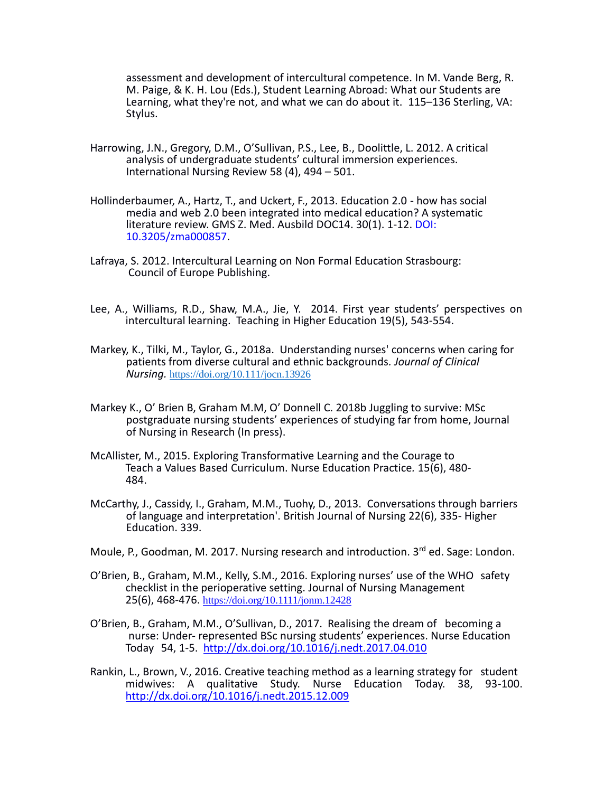assessment and development of intercultural competence. In M. Vande Berg, R. M. Paige, & K. H. Lou (Eds.), Student Learning Abroad: What our Students are Learning, what they're not, and what we can do about it. 115–136 Sterling, VA: Stylus.

- Harrowing, J.N., Gregory, D.M., O'Sullivan, P.S., Lee, B., Doolittle, L. 2012. A critical analysis of undergraduate students' cultural immersion experiences. International Nursing Review 58 (4), 494 – 501.
- Hollinderbaumer, A., Hartz, T., and Uckert, F., 2013. Education 2.0 how has social media and web 2.0 been integrated into medical education? A systematic literature review. GMS Z. Med. Ausbild DOC14. 30(1). 1-12. DOI: 10.3205/zma000857.
- Lafraya, S. 2012. Intercultural Learning on Non Formal Education Strasbourg: Council of Europe Publishing.
- Lee, A., Williams, R.D., Shaw, M.A., Jie, Y. 2014. First year students' perspectives on intercultural learning. Teaching in Higher Education 19(5), 543-554.
- Markey, K., Tilki, M., Taylor, G., 2018a. Understanding nurses' concerns when caring for patients from diverse cultural and ethnic backgrounds*. Journal of Clinical Nursing.* <https://doi.org/10.111/jocn.13926>
- Markey K., O' Brien B, Graham M.M, O' Donnell C. 2018b Juggling to survive: MSc postgraduate nursing students' experiences of studying far from home, Journal of Nursing in Research (In press).
- McAllister, M., 2015. Exploring Transformative Learning and the Courage to Teach a Values Based Curriculum. Nurse Education Practice*.* 15(6), 480- 484.
- McCarthy, J., Cassidy, I., Graham, M.M., Tuohy, D., 2013. Conversations through barriers of language and interpretation'. British Journal of Nursing 22(6), 335- Higher Education. 339.
- Moule, P., Goodman, M. 2017. Nursing research and introduction. 3<sup>rd</sup> ed. Sage: London.
- O'Brien, B., Graham, M.M., Kelly, S.M., 2016. Exploring nurses' use of the WHO safety checklist in the perioperative setting. Journal of Nursing Management 25(6), 468-476. [https://doi.org/10.1111/jonm.12428](https://webmail.ul.ie/owa/redir.aspx?C=5MifkIgLJyZ1WsHNkr5Q64Dh2JCemCCe-auNACmZVwgQK7tlU9LVCA..&URL=https%3a%2f%2fdoi.org%2f10.1111%2fjonm.12428)
- O'Brien, B., Graham, M.M., O'Sullivan, D., 2017. Realising the dream of becoming a nurse: Under- represented BSc nursing students' experiences. Nurse Education Today 54, 1-5. <http://dx.doi.org/10.1016/j.nedt.2017.04.010>
- Rankin, L., Brown, V., 2016. Creative teaching method as a learning strategy for student midwives: A qualitative Study. Nurse Education Today. 38, 93-100. <http://dx.doi.org/10.1016/j.nedt.2015.12.009>